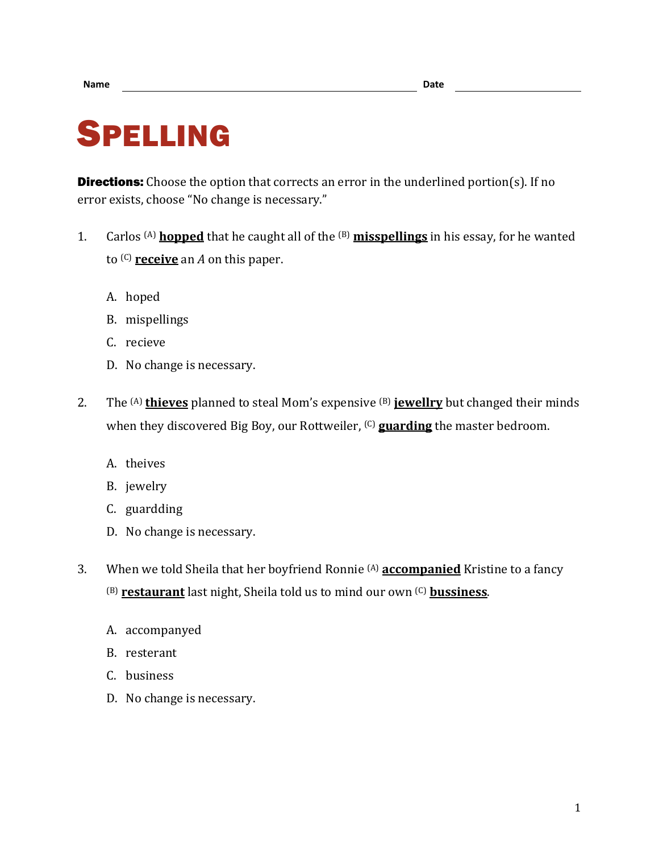## SPELLING

**Directions:** Choose the option that corrects an error in the underlined portion(s). If no error exists, choose "No change is necessary."

- 1. Carlos (A) **hopped** that he caught all of the (B) **misspellings** in his essay, for he wanted to (C) **receive** an *A* on this paper.
	- A. hoped
	- B. mispellings
	- C. recieve
	- D. No change is necessary.
- 2. The (A) **thieves** planned to steal Mom's expensive (B) **jewellry** but changed their minds when they discovered Big Boy, our Rottweiler, (C) **guarding** the master bedroom.
	- A. theives
	- B. jewelry
	- C. guardding
	- D. No change is necessary.
- 3. When we told Sheila that her boyfriend Ronnie (A) **accompanied** Kristine to a fancy (B) **restaurant** last night, Sheila told us to mind our own (C) **bussiness**.
	- A. accompanyed
	- B. resterant
	- C. business
	- D. No change is necessary.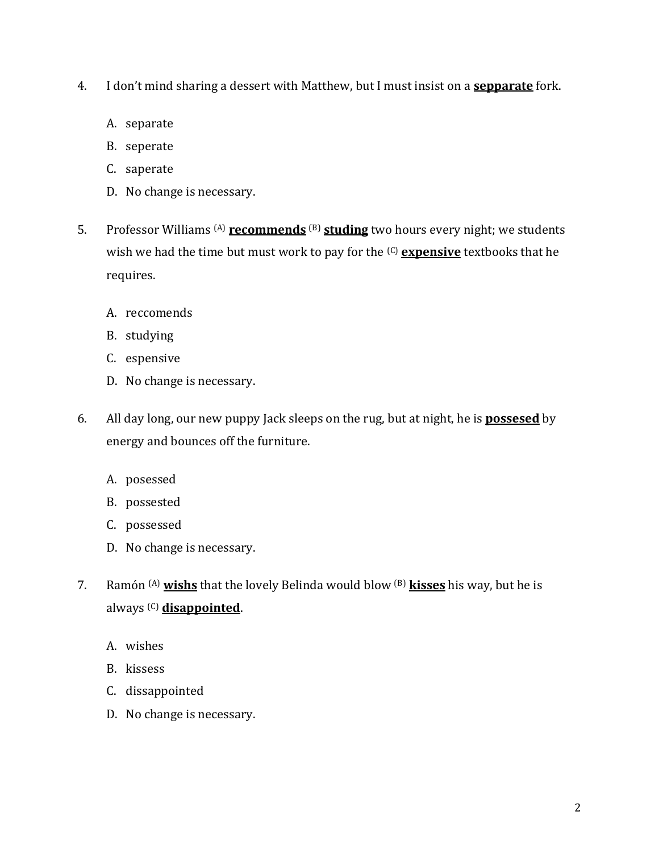- 4. I don't mind sharing a dessert with Matthew, but I must insist on a **sepparate** fork.
	- A. separate
	- B. seperate
	- C. saperate
	- D. No change is necessary.
- 5. Professor Williams (A) **recommends** (B) **studing** two hours every night; we students wish we had the time but must work to pay for the (C) **expensive** textbooks that he requires.
	- A. reccomends
	- B. studying
	- C. espensive
	- D. No change is necessary.
- 6. All day long, our new puppy Jack sleeps on the rug, but at night, he is **possesed** by energy and bounces off the furniture.
	- A. posessed
	- B. possested
	- C. possessed
	- D. No change is necessary.
- 7. Ramón (A) **wishs** that the lovely Belinda would blow (B) **kisses** his way, but he is always (C) **disappointed**.
	- A. wishes
	- B. kissess
	- C. dissappointed
	- D. No change is necessary.